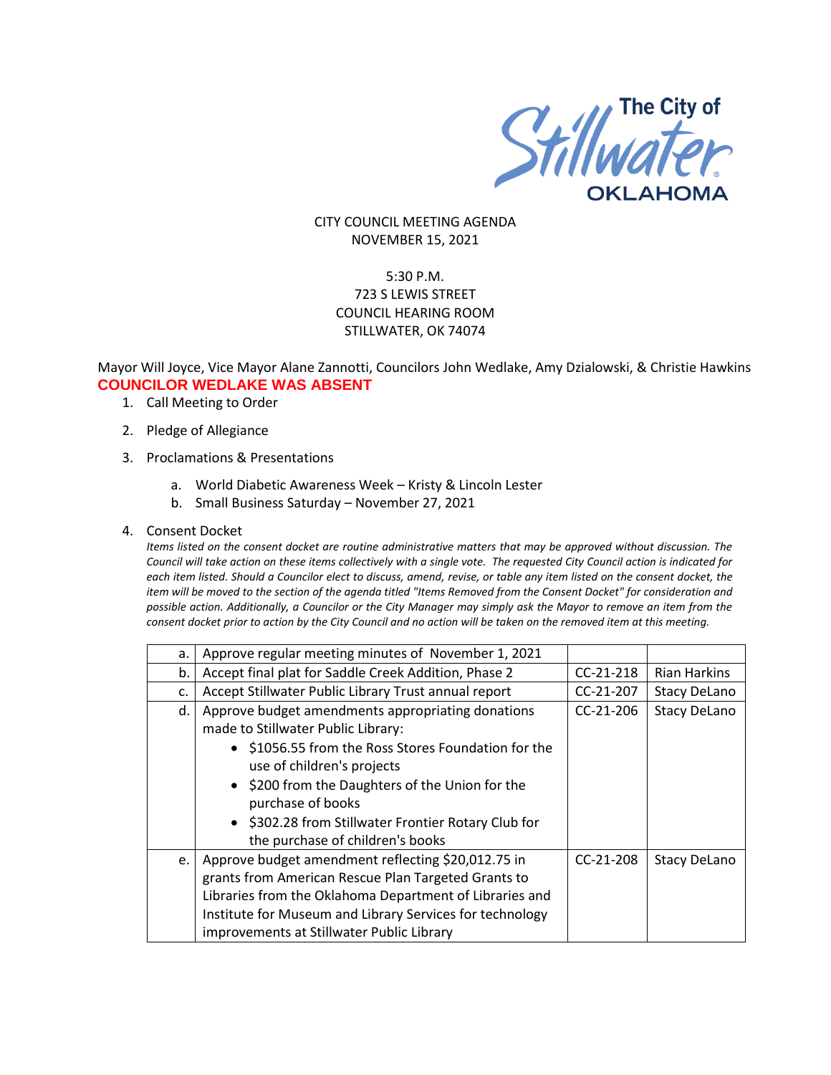

CITY COUNCIL MEETING AGENDA NOVEMBER 15, 2021

# 5:30 P.M. 723 S LEWIS STREET COUNCIL HEARING ROOM STILLWATER, OK 74074

## Mayor Will Joyce, Vice Mayor Alane Zannotti, Councilors John Wedlake, Amy Dzialowski, & Christie Hawkins **COUNCILOR WEDLAKE WAS ABSENT**

- 1. Call Meeting to Order
- 2. Pledge of Allegiance
- 3. Proclamations & Presentations
	- a. World Diabetic Awareness Week Kristy & Lincoln Lester
	- b. Small Business Saturday November 27, 2021
- 4. Consent Docket

*Items listed on the consent docket are routine administrative matters that may be approved without discussion. The Council will take action on these items collectively with a single vote. The requested City Council action is indicated for each item listed. Should a Councilor elect to discuss, amend, revise, or table any item listed on the consent docket, the item will be moved to the section of the agenda titled "Items Removed from the Consent Docket" for consideration and possible action. Additionally, a Councilor or the City Manager may simply ask the Mayor to remove an item from the consent docket prior to action by the City Council and no action will be taken on the removed item at this meeting.*

| а. | Approve regular meeting minutes of November 1, 2021      |             |                     |
|----|----------------------------------------------------------|-------------|---------------------|
| b. | Accept final plat for Saddle Creek Addition, Phase 2     | $CC-21-218$ | <b>Rian Harkins</b> |
| c. | Accept Stillwater Public Library Trust annual report     | CC-21-207   | <b>Stacy DeLano</b> |
| d. | Approve budget amendments appropriating donations        | $CC-21-206$ | <b>Stacy DeLano</b> |
|    | made to Stillwater Public Library:                       |             |                     |
|    | • \$1056.55 from the Ross Stores Foundation for the      |             |                     |
|    | use of children's projects                               |             |                     |
|    | • \$200 from the Daughters of the Union for the          |             |                     |
|    | purchase of books                                        |             |                     |
|    | • \$302.28 from Stillwater Frontier Rotary Club for      |             |                     |
|    | the purchase of children's books                         |             |                     |
| e. | Approve budget amendment reflecting \$20,012.75 in       | $CC-21-208$ | <b>Stacy DeLano</b> |
|    | grants from American Rescue Plan Targeted Grants to      |             |                     |
|    | Libraries from the Oklahoma Department of Libraries and  |             |                     |
|    | Institute for Museum and Library Services for technology |             |                     |
|    | improvements at Stillwater Public Library                |             |                     |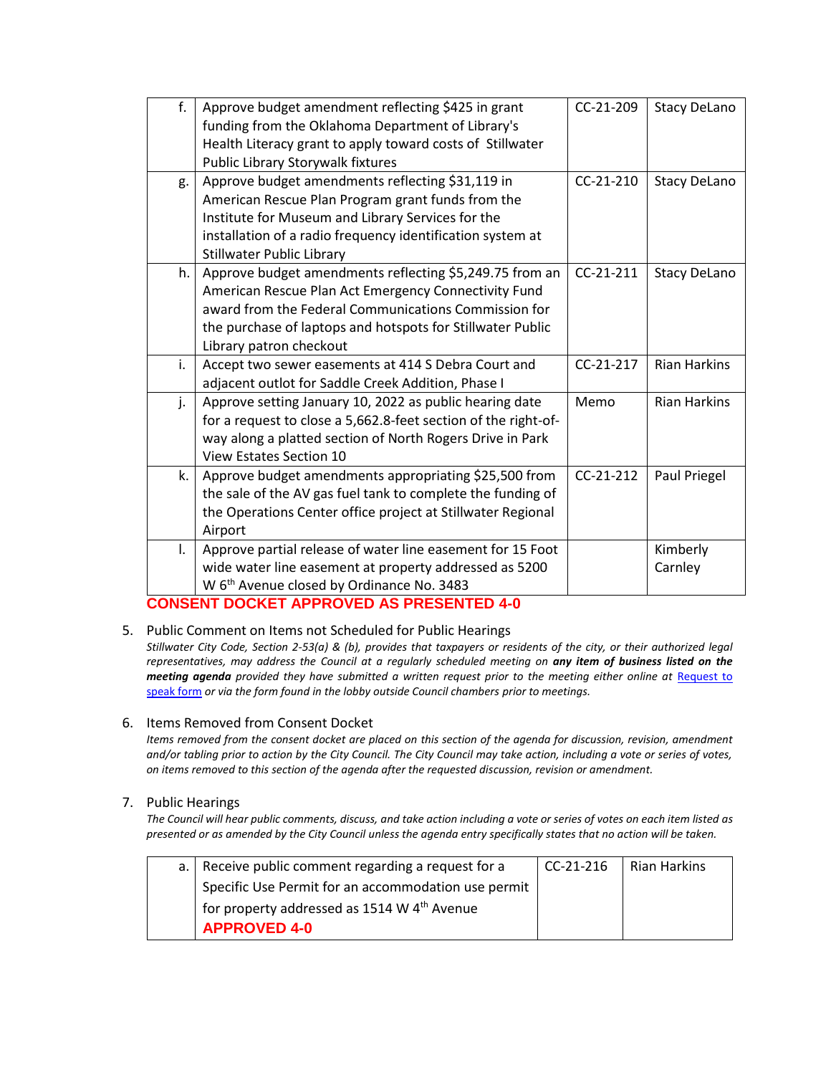| f. | Approve budget amendment reflecting \$425 in grant                                           | CC-21-209   | <b>Stacy DeLano</b> |
|----|----------------------------------------------------------------------------------------------|-------------|---------------------|
|    | funding from the Oklahoma Department of Library's                                            |             |                     |
|    | Health Literacy grant to apply toward costs of Stillwater                                    |             |                     |
|    | Public Library Storywalk fixtures                                                            |             |                     |
| g. | Approve budget amendments reflecting \$31,119 in                                             | $CC-21-210$ | <b>Stacy DeLano</b> |
|    | American Rescue Plan Program grant funds from the                                            |             |                     |
|    | Institute for Museum and Library Services for the                                            |             |                     |
|    | installation of a radio frequency identification system at                                   |             |                     |
|    | <b>Stillwater Public Library</b>                                                             |             |                     |
| h. | Approve budget amendments reflecting \$5,249.75 from an                                      | CC-21-211   | <b>Stacy DeLano</b> |
|    | American Rescue Plan Act Emergency Connectivity Fund                                         |             |                     |
|    | award from the Federal Communications Commission for                                         |             |                     |
|    | the purchase of laptops and hotspots for Stillwater Public                                   |             |                     |
|    | Library patron checkout                                                                      |             |                     |
| i. | Accept two sewer easements at 414 S Debra Court and                                          | $CC-21-217$ | <b>Rian Harkins</b> |
|    | adjacent outlot for Saddle Creek Addition, Phase I                                           |             |                     |
| j. | Approve setting January 10, 2022 as public hearing date                                      | Memo        | <b>Rian Harkins</b> |
|    | for a request to close a 5,662.8-feet section of the right-of-                               |             |                     |
|    | way along a platted section of North Rogers Drive in Park                                    |             |                     |
|    | <b>View Estates Section 10</b>                                                               |             |                     |
| k. | Approve budget amendments appropriating \$25,500 from                                        | $CC-21-212$ | Paul Priegel        |
|    | the sale of the AV gas fuel tank to complete the funding of                                  |             |                     |
|    | the Operations Center office project at Stillwater Regional                                  |             |                     |
|    | Airport                                                                                      |             |                     |
| I. | Approve partial release of water line easement for 15 Foot                                   |             | Kimberly            |
|    | wide water line easement at property addressed as 5200                                       |             | Carnley             |
|    | W 6 <sup>th</sup> Avenue closed by Ordinance No. 3483<br>IT BAAKET IBBBAKER IA BBFAELITER IA |             |                     |

# **CONSENT DOCKET APPROVED AS PRESENTED 4-0**

5. Public Comment on Items not Scheduled for Public Hearings

*Stillwater City Code, Section 2-53(a) & (b), provides that taxpayers or residents of the city, or their authorized legal representatives, may address the Council at a regularly scheduled meeting on any item of business listed on the meeting agenda provided they have submitted a written request prior to the meeting either online at* [Request to](http://stillwater.org/page/home/government/mayor-city-council/meetings-agendas-minutes/online-request-to-speak-at-city-council)  [speak form](http://stillwater.org/page/home/government/mayor-city-council/meetings-agendas-minutes/online-request-to-speak-at-city-council) *or via the form found in the lobby outside Council chambers prior to meetings.*

### 6. Items Removed from Consent Docket

*Items removed from the consent docket are placed on this section of the agenda for discussion, revision, amendment and/or tabling prior to action by the City Council. The City Council may take action, including a vote or series of votes, on items removed to this section of the agenda after the requested discussion, revision or amendment.*

### 7. Public Hearings

*The Council will hear public comments, discuss, and take action including a vote or series of votes on each item listed as presented or as amended by the City Council unless the agenda entry specifically states that no action will be taken.*

| a. Receive public comment regarding a request for a     | l CC-21-216 | Rian Harkins |
|---------------------------------------------------------|-------------|--------------|
| Specific Use Permit for an accommodation use permit     |             |              |
| for property addressed as 1514 W 4 <sup>th</sup> Avenue |             |              |
| <b>APPROVED 4-0</b>                                     |             |              |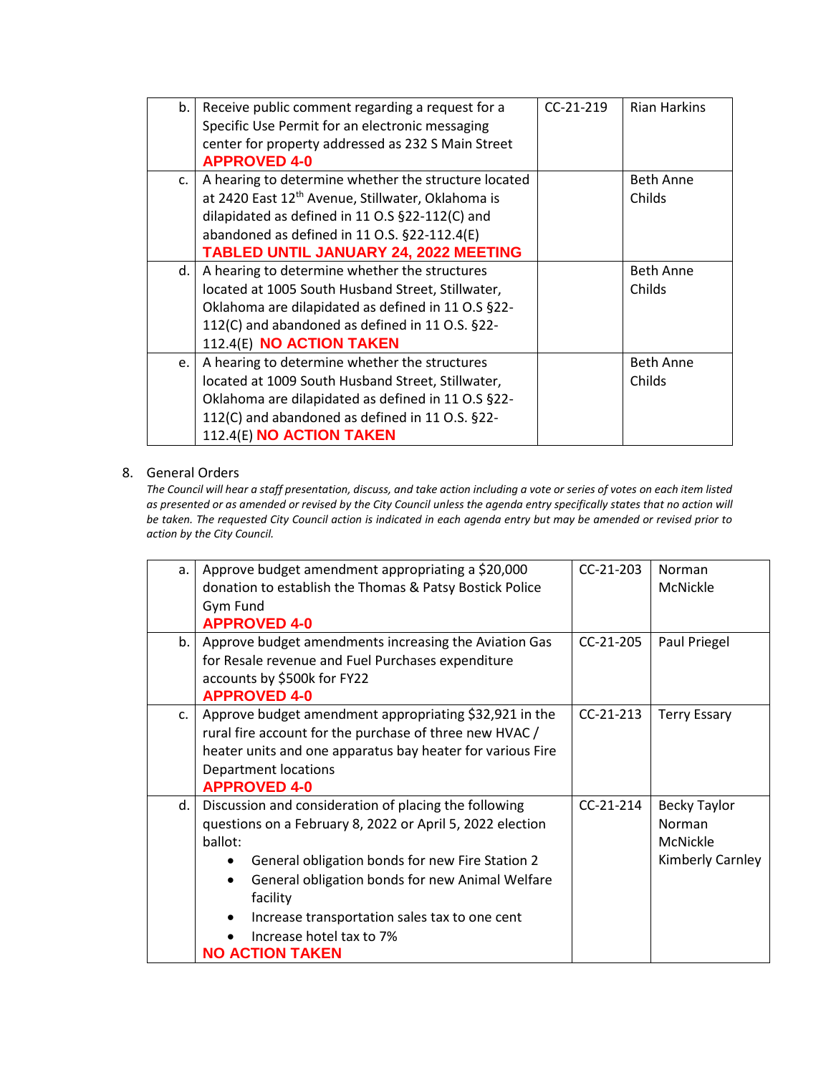| b. | Receive public comment regarding a request for a              | $CC-21-219$ | <b>Rian Harkins</b> |
|----|---------------------------------------------------------------|-------------|---------------------|
|    | Specific Use Permit for an electronic messaging               |             |                     |
|    | center for property addressed as 232 S Main Street            |             |                     |
|    | <b>APPROVED 4-0</b>                                           |             |                     |
| C. | A hearing to determine whether the structure located          |             | <b>Beth Anne</b>    |
|    | at 2420 East 12 <sup>th</sup> Avenue, Stillwater, Oklahoma is |             | Childs              |
|    | dilapidated as defined in 11 O.S §22-112(C) and               |             |                     |
|    | abandoned as defined in 11 O.S. §22-112.4(E)                  |             |                     |
|    | <b>TABLED UNTIL JANUARY 24, 2022 MEETING</b>                  |             |                     |
| d. | A hearing to determine whether the structures                 |             | <b>Beth Anne</b>    |
|    | located at 1005 South Husband Street, Stillwater,             |             | Childs              |
|    | Oklahoma are dilapidated as defined in 11 O.S §22-            |             |                     |
|    | 112(C) and abandoned as defined in 11 O.S. §22-               |             |                     |
|    | 112.4(E) NO ACTION TAKEN                                      |             |                     |
| e. | A hearing to determine whether the structures                 |             | <b>Beth Anne</b>    |
|    | located at 1009 South Husband Street, Stillwater,             |             | Childs              |
|    | Oklahoma are dilapidated as defined in 11 O.S §22-            |             |                     |
|    | 112(C) and abandoned as defined in 11 O.S. §22-               |             |                     |
|    | 112.4(E) NO ACTION TAKEN                                      |             |                     |

# 8. General Orders

*The Council will hear a staff presentation, discuss, and take action including a vote or series of votes on each item listed as presented or as amended or revised by the City Council unless the agenda entry specifically states that no action will be taken. The requested City Council action is indicated in each agenda entry but may be amended or revised prior to action by the City Council.* 

| a.            | Approve budget amendment appropriating a \$20,000            | $CC-21-203$ | Norman              |
|---------------|--------------------------------------------------------------|-------------|---------------------|
|               | donation to establish the Thomas & Patsy Bostick Police      |             | McNickle            |
|               | Gym Fund                                                     |             |                     |
|               | <b>APPROVED 4-0</b>                                          |             |                     |
| b.            | Approve budget amendments increasing the Aviation Gas        | $CC-21-205$ | Paul Priegel        |
|               | for Resale revenue and Fuel Purchases expenditure            |             |                     |
|               | accounts by \$500k for FY22                                  |             |                     |
|               | <b>APPROVED 4-0</b>                                          |             |                     |
| $C_{\bullet}$ | Approve budget amendment appropriating \$32,921 in the       | $CC-21-213$ | <b>Terry Essary</b> |
|               | rural fire account for the purchase of three new HVAC /      |             |                     |
|               | heater units and one apparatus bay heater for various Fire   |             |                     |
|               | <b>Department locations</b>                                  |             |                     |
|               | <b>APPROVED 4-0</b>                                          |             |                     |
| d.            | Discussion and consideration of placing the following        | $CC-21-214$ | Becky Taylor        |
|               | questions on a February 8, 2022 or April 5, 2022 election    |             | Norman              |
|               | ballot:                                                      |             | McNickle            |
|               | General obligation bonds for new Fire Station 2              |             | Kimberly Carnley    |
|               | General obligation bonds for new Animal Welfare<br>$\bullet$ |             |                     |
|               | facility                                                     |             |                     |
|               | Increase transportation sales tax to one cent                |             |                     |
|               | Increase hotel tax to 7%                                     |             |                     |
|               | <b>NO ACTION TAKEN</b>                                       |             |                     |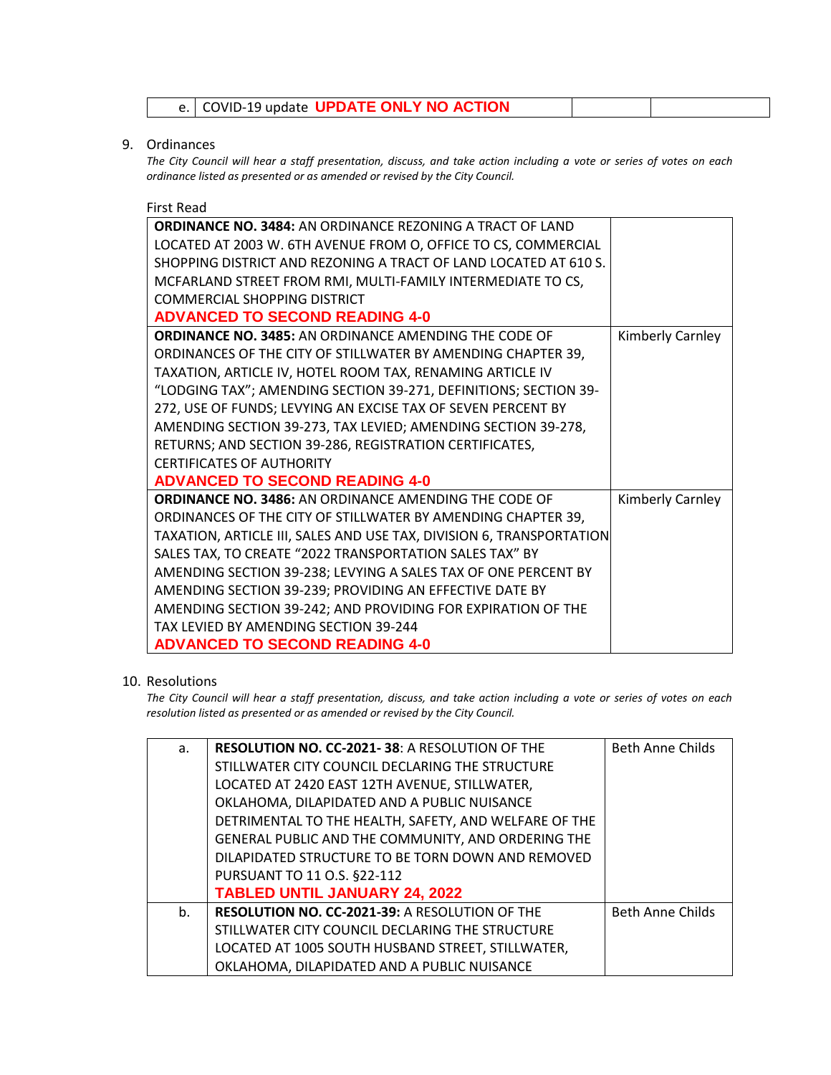## 9. Ordinances

*The City Council will hear a staff presentation, discuss, and take action including a vote or series of votes on each ordinance listed as presented or as amended or revised by the City Council.*

#### First Read

| <b>ORDINANCE NO. 3484: AN ORDINANCE REZONING A TRACT OF LAND</b>     |                  |
|----------------------------------------------------------------------|------------------|
| LOCATED AT 2003 W. 6TH AVENUE FROM O, OFFICE TO CS, COMMERCIAL       |                  |
| SHOPPING DISTRICT AND REZONING A TRACT OF LAND LOCATED AT 610 S.     |                  |
| MCFARLAND STREET FROM RMI, MULTI-FAMILY INTERMEDIATE TO CS,          |                  |
| COMMERCIAL SHOPPING DISTRICT                                         |                  |
| <b>ADVANCED TO SECOND READING 4-0</b>                                |                  |
| <b>ORDINANCE NO. 3485: AN ORDINANCE AMENDING THE CODE OF</b>         | Kimberly Carnley |
| ORDINANCES OF THE CITY OF STILLWATER BY AMENDING CHAPTER 39,         |                  |
| TAXATION, ARTICLE IV, HOTEL ROOM TAX, RENAMING ARTICLE IV            |                  |
| "LODGING TAX"; AMENDING SECTION 39-271, DEFINITIONS; SECTION 39-     |                  |
| 272, USE OF FUNDS; LEVYING AN EXCISE TAX OF SEVEN PERCENT BY         |                  |
| AMENDING SECTION 39-273, TAX LEVIED; AMENDING SECTION 39-278,        |                  |
| RETURNS; AND SECTION 39-286, REGISTRATION CERTIFICATES,              |                  |
| <b>CERTIFICATES OF AUTHORITY</b>                                     |                  |
| <b>ADVANCED TO SECOND READING 4-0</b>                                |                  |
| <b>ORDINANCE NO. 3486: AN ORDINANCE AMENDING THE CODE OF</b>         | Kimberly Carnley |
| ORDINANCES OF THE CITY OF STILLWATER BY AMENDING CHAPTER 39,         |                  |
| TAXATION, ARTICLE III, SALES AND USE TAX, DIVISION 6, TRANSPORTATION |                  |
| SALES TAX, TO CREATE "2022 TRANSPORTATION SALES TAX" BY              |                  |
| AMENDING SECTION 39-238; LEVYING A SALES TAX OF ONE PERCENT BY       |                  |
| AMENDING SECTION 39-239; PROVIDING AN EFFECTIVE DATE BY              |                  |
| AMENDING SECTION 39-242; AND PROVIDING FOR EXPIRATION OF THE         |                  |
| TAX LEVIED BY AMENDING SECTION 39-244                                |                  |
| <b>ADVANCED TO SECOND READING 4-0</b>                                |                  |

### 10. Resolutions

*The City Council will hear a staff presentation, discuss, and take action including a vote or series of votes on each resolution listed as presented or as amended or revised by the City Council.* 

| a. | <b>RESOLUTION NO. CC-2021-38: A RESOLUTION OF THE</b> | Beth Anne Childs        |
|----|-------------------------------------------------------|-------------------------|
|    | STILLWATER CITY COUNCIL DECLARING THE STRUCTURE       |                         |
|    | LOCATED AT 2420 EAST 12TH AVENUE, STILLWATER,         |                         |
|    | OKLAHOMA, DILAPIDATED AND A PUBLIC NUISANCE           |                         |
|    | DETRIMENTAL TO THE HEALTH, SAFETY, AND WELFARE OF THE |                         |
|    | GENERAL PUBLIC AND THE COMMUNITY, AND ORDERING THE    |                         |
|    | DILAPIDATED STRUCTURE TO BE TORN DOWN AND REMOVED     |                         |
|    | PURSUANT TO 11 O.S. §22-112                           |                         |
|    | <b>TABLED UNTIL JANUARY 24, 2022</b>                  |                         |
| b. | <b>RESOLUTION NO. CC-2021-39: A RESOLUTION OF THE</b> | <b>Beth Anne Childs</b> |
|    | STILLWATER CITY COUNCIL DECLARING THE STRUCTURE       |                         |
|    | LOCATED AT 1005 SOUTH HUSBAND STREET, STILLWATER,     |                         |
|    | OKLAHOMA, DILAPIDATED AND A PUBLIC NUISANCE           |                         |